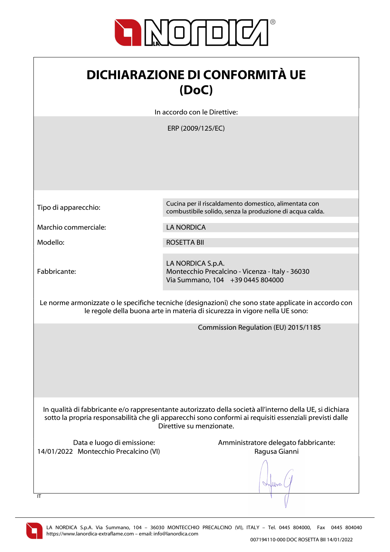

| <b>DICHIARAZIONE DI CONFORMITÀ UE</b> |
|---------------------------------------|
| (DoC)                                 |

In accordo con le Direttive:

ERP (2009/125/EC)

Marchio commerciale: LA NORDICA

Fabbricante:

Tipo di apparecchio: Cucina per il riscaldamento domestico, alimentata con combustibile solido, senza la produzione di acqua calda.

Modello: ROSETTA BII

LA NORDICA S.p.A. Montecchio Precalcino - Vicenza - Italy - 36030 Via Summano, 104 +39 0445 804000

Le norme armonizzate o le specifiche tecniche (designazioni) che sono state applicate in accordo con le regole della buona arte in materia di sicurezza in vigore nella UE sono:

Commission Regulation (EU) 2015/1185

In qualità di fabbricante e/o rappresentante autorizzato della società all'interno della UE, si dichiara sotto la propria responsabilità che gli apparecchi sono conformi ai requisiti essenziali previsti dalle Direttive su menzionate.

14/01/2022 Montecchio Precalcino (VI) Ragusa Gianni

Data e luogo di emissione: Amministratore delegato fabbricante:

Work



 $\overline{I}$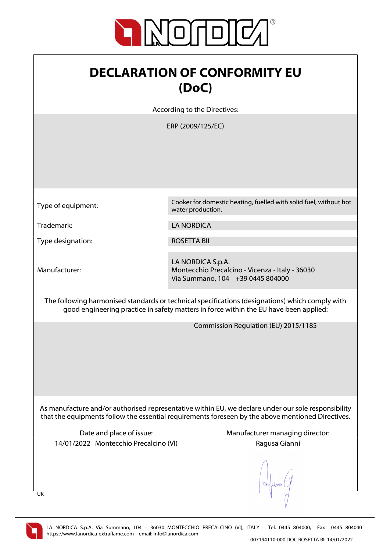

| <b>DECLARATION OF CONFORMITY EU</b> |  |
|-------------------------------------|--|
| (DoC)                               |  |

According to the Directives:

ERP (2009/125/EC)

Type of equipment: Cooker for domestic heating, fuelled with solid fuel, without hot water production.

Trademark: LA NORDICA

Type designation: Type designation:

Manufacturer:

LA NORDICA S.p.A. Montecchio Precalcino - Vicenza - Italy - 36030 Via Summano, 104 +39 0445 804000

The following harmonised standards or technical specifications (designations) which comply with good engineering practice in safety matters in force within the EU have been applied:

Commission Regulation (EU) 2015/1185

As manufacture and/or authorised representative within EU, we declare under our sole responsibility that the equipments follow the essential requirements foreseen by the above mentioned Directives.

14/01/2022 Montecchio Precalcino (VI) Ragusa Gianni

Date and place of issue: Manufacturer managing director:

 $\ln$ 

UK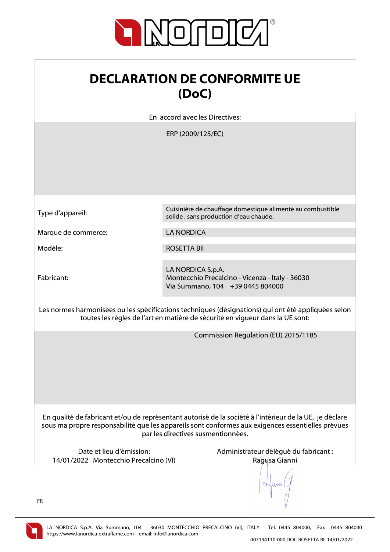

| <b>DECLARATION DE CONFORMITE UE</b><br>(DoC)                                                                                                                                                                                                       |                                                                                                                                                                                      |
|----------------------------------------------------------------------------------------------------------------------------------------------------------------------------------------------------------------------------------------------------|--------------------------------------------------------------------------------------------------------------------------------------------------------------------------------------|
|                                                                                                                                                                                                                                                    | En accord avec les Directives:                                                                                                                                                       |
|                                                                                                                                                                                                                                                    | ERP (2009/125/EC)                                                                                                                                                                    |
| Type d'appareil:                                                                                                                                                                                                                                   | Cuisinière de chauffage domestique alimenté au combustible<br>solide, sans production d'eau chaude.                                                                                  |
| Marque de commerce:                                                                                                                                                                                                                                | <b>LA NORDICA</b>                                                                                                                                                                    |
| Modèle:                                                                                                                                                                                                                                            | <b>ROSETTA BII</b>                                                                                                                                                                   |
| Fabricant:                                                                                                                                                                                                                                         | LA NORDICA S.p.A.<br>Montecchio Precalcino - Vicenza - Italy - 36030<br>Via Summano, 104 +39 0445 804000                                                                             |
|                                                                                                                                                                                                                                                    | Les normes harmonisées ou les spécifications techniques (désignations) qui ont été appliquées selon<br>toutes les règles de l'art en matière de sécurité en vigueur dans la UE sont: |
| Commission Regulation (EU) 2015/1185                                                                                                                                                                                                               |                                                                                                                                                                                      |
| En qualité de fabricant et/ou de représentant autorisé de la société à l'intérieur de la UE, je déclare<br>sous ma propre responsabilité que les appareils sont conformes aux exigences essentielles prévues<br>par les directives susmentionnées. |                                                                                                                                                                                      |
| Date et lieu d'émission:<br>14/01/2022 Montecchio Precalcino (VI)                                                                                                                                                                                  | Administrateur délégué du fabricant :<br>Ragusa Gianni                                                                                                                               |

V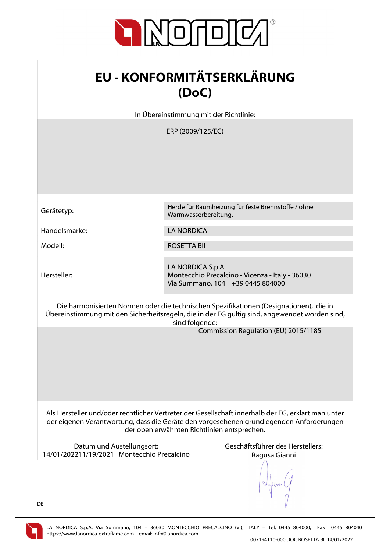

| <b>EU - KONFORMITÄTSERKLÄRUNG</b> |
|-----------------------------------|
| (DoC)                             |

In Übereinstimmung mit der Richtlinie:

ERP (2009/125/EC)

Hersteller:

Gerätetyp:<br>
Marmusscarbereitung für feste Brennstoffe / ohne Warmwasserbereitung.

Handelsmarke: LA NORDICA

Modell: ROSETTA BII

LA NORDICA S.p.A. Montecchio Precalcino - Vicenza - Italy - 36030 Via Summano, 104 +39 0445 804000

Die harmonisierten Normen oder die technischen Spezifikationen (Designationen), die in Übereinstimmung mit den Sicherheitsregeln, die in der EG gültig sind, angewendet worden sind, sind folgende:

Commission Regulation (EU) 2015/1185

Als Hersteller und/oder rechtlicher Vertreter der Gesellschaft innerhalb der EG, erklärt man unter der eigenen Verantwortung, dass die Geräte den vorgesehenen grundlegenden Anforderungen der oben erwähnten Richtlinien entsprechen.

Datum und Austellungsort: Geschäftsführer des Herstellers: 14/01/202211/19/2021 Montecchio Precalcino  $\mathcal{N}(\mathcal{N})$ 

Ragusa Gianni

When



**DE**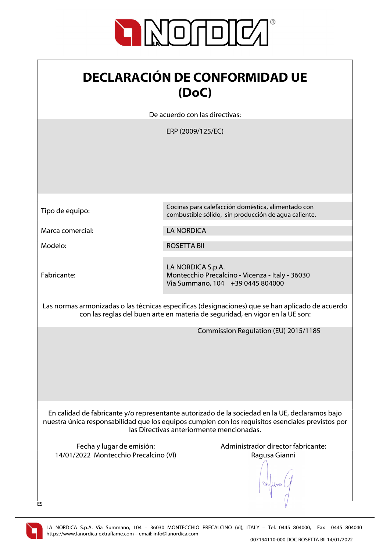

| <b>DECLARACIÓN DE CONFORMIDAD UE</b> |
|--------------------------------------|
| (DoC)                                |

De acuerdo con las directivas:

ERP (2009/125/EC)

| Tipo de equipo:                                                                                                                                                                  | Cocinas para calefacción doméstica, alimentado con<br>combustible sólido, sin producción de agua caliente.                                                                                                                                       |
|----------------------------------------------------------------------------------------------------------------------------------------------------------------------------------|--------------------------------------------------------------------------------------------------------------------------------------------------------------------------------------------------------------------------------------------------|
| Marca comercial:                                                                                                                                                                 | <b>LA NORDICA</b>                                                                                                                                                                                                                                |
| Modelo:                                                                                                                                                                          | <b>ROSETTA BII</b>                                                                                                                                                                                                                               |
| Fabricante:                                                                                                                                                                      | LA NORDICA S.p.A.<br>Montecchio Precalcino - Vicenza - Italy - 36030<br>Via Summano, 104 +39 0445 804000                                                                                                                                         |
| Las normas armonizadas o las técnicas específicas (designaciones) que se han aplicado de acuerdo<br>con las reglas del buen arte en materia de seguridad, en vigor en la UE son: |                                                                                                                                                                                                                                                  |
|                                                                                                                                                                                  | Commission Regulation (EU) 2015/1185                                                                                                                                                                                                             |
|                                                                                                                                                                                  | En calidad de fabricante y/o representante autorizado de la sociedad en la UE, declaramos bajo<br>nuestra única responsabilidad que los equipos cumplen con los requisitos esenciales previstos por<br>las Directivas anteriormente mencionadas. |
| Fecha y lugar de emisión:<br>14/01/2022 Montecchio Precalcino (VI)                                                                                                               | Administrador director fabricante:<br>Ragusa Gianni                                                                                                                                                                                              |
| ES                                                                                                                                                                               |                                                                                                                                                                                                                                                  |

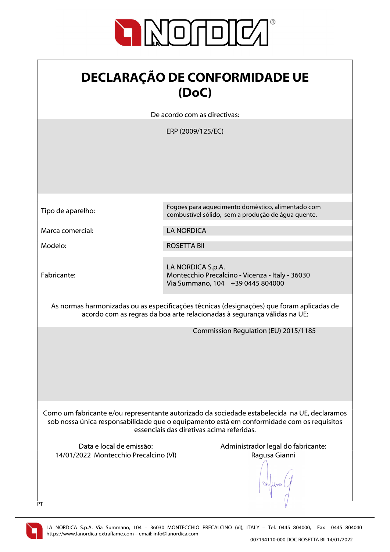

| <b>DECLARAÇÃO DE CONFORMIDADE UE</b> |
|--------------------------------------|
| (DoC)                                |

De acordo com as directivas:

ERP (2009/125/EC)

| Tipo de aparelho:                                                                                                                                                                                                                      | Fogões para aquecimento doméstico, alimentado com<br>combustível sólido, sem a produção de água quente.  |
|----------------------------------------------------------------------------------------------------------------------------------------------------------------------------------------------------------------------------------------|----------------------------------------------------------------------------------------------------------|
| Marca comercial:                                                                                                                                                                                                                       | <b>LA NORDICA</b>                                                                                        |
| Modelo:                                                                                                                                                                                                                                | <b>ROSETTA BII</b>                                                                                       |
| Fabricante:                                                                                                                                                                                                                            | LA NORDICA S.p.A.<br>Montecchio Precalcino - Vicenza - Italy - 36030<br>Via Summano, 104 +39 0445 804000 |
| As normas harmonizadas ou as especificações técnicas (designações) que foram aplicadas de<br>acordo com as regras da boa arte relacionadas à segurança válidas na UE:                                                                  |                                                                                                          |
|                                                                                                                                                                                                                                        | Commission Regulation (EU) 2015/1185                                                                     |
| Como um fabricante e/ou representante autorizado da sociedade estabelecida na UE, declaramos<br>sob nossa única responsabilidade que o equipamento está em conformidade com os requisitos<br>essenciais das diretivas acima referidas. |                                                                                                          |
| Data e local de emissão:<br>14/01/2022 Montecchio Precalcino (VI)<br>PT                                                                                                                                                                | Administrador legal do fabricante:<br>Ragusa Gianni                                                      |

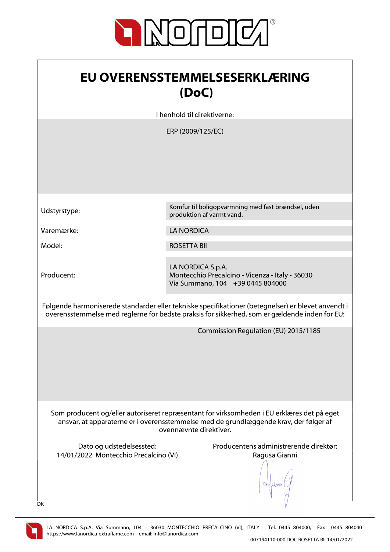

| <b>EU OVERENSSTEMMELSESERKLÆRING</b> |
|--------------------------------------|
| (DoC)                                |

I henhold til direktiverne:

ERP (2009/125/EC)

Producent:

Udstyrstype: Komfur til boligopvarmning med fast brændsel, uden produktion af varmt vand.

Varemærke: LA NORDICA

Model: ROSETTA BII

LA NORDICA S.p.A. Montecchio Precalcino - Vicenza - Italy - 36030 Via Summano, 104 +39 0445 804000

Følgende harmoniserede standarder eller tekniske specifikationer (betegnelser) er blevet anvendt i overensstemmelse med reglerne for bedste praksis for sikkerhed, som er gældende inden for EU:

Commission Regulation (EU) 2015/1185

Som producent og/eller autoriseret repræsentant for virksomheden i EU erklæres det på eget ansvar, at apparaterne er i overensstemmelse med de grundlæggende krav, der følger af ovennævnte direktiver.

14/01/2022 Montecchio Precalcino (VI) Ragusa Gianni

Dato og udstedelsessted: Producentens administrerende direktør:

When



DK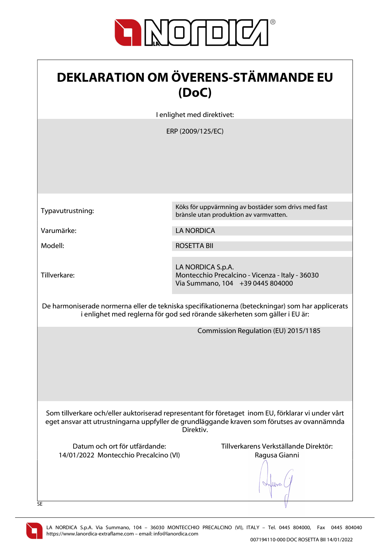

| <b>DEKLARATION OM ÖVERENS-STÄMMANDE EU</b><br>(DoC)                                                                                                                                                            |                                                                                                          |
|----------------------------------------------------------------------------------------------------------------------------------------------------------------------------------------------------------------|----------------------------------------------------------------------------------------------------------|
|                                                                                                                                                                                                                | I enlighet med direktivet:                                                                               |
|                                                                                                                                                                                                                | ERP (2009/125/EC)                                                                                        |
| Typavutrustning:                                                                                                                                                                                               | Köks för uppvärmning av bostäder som drivs med fast<br>brànsle utan produktion av varmvatten.            |
| Varumärke:                                                                                                                                                                                                     | <b>LA NORDICA</b>                                                                                        |
| Modell:                                                                                                                                                                                                        | <b>ROSETTA BII</b>                                                                                       |
| Tillverkare:                                                                                                                                                                                                   | LA NORDICA S.p.A.<br>Montecchio Precalcino - Vicenza - Italy - 36030<br>Via Summano, 104 +39 0445 804000 |
| De harmoniserade normerna eller de tekniska specifikationerna (beteckningar) som har applicerats<br>i enlighet med reglerna för god sed rörande säkerheten som gäller i EU är:                                 |                                                                                                          |
| Commission Regulation (EU) 2015/1185                                                                                                                                                                           |                                                                                                          |
| Som tillverkare och/eller auktoriserad representant för företaget inom EU, förklarar vi under vårt<br>eget ansvar att utrustningarna uppfyller de grundläggande kraven som förutses av ovannämnda<br>Direktiv. |                                                                                                          |
| Datum och ort för utfärdande:<br>14/01/2022 Montecchio Precalcino (VI)<br>SE                                                                                                                                   | Tillverkarens Verkställande Direktör:<br>Ragusa Gianni                                                   |

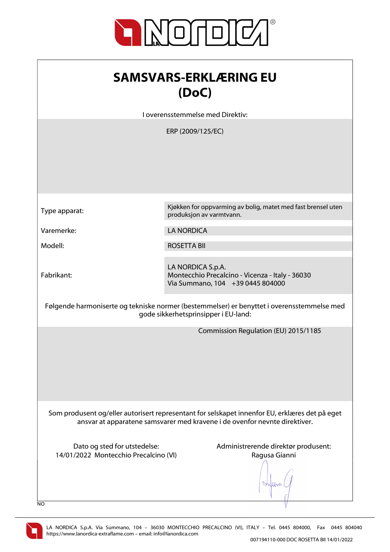

| <b>SAMSVARS-ERKLÆRING EU</b> |  |
|------------------------------|--|
| (DoC)                        |  |

I overensstemmelse med Direktiv:

|                                       | ERP (2009/125/EC)                                                                                                                                                            |
|---------------------------------------|------------------------------------------------------------------------------------------------------------------------------------------------------------------------------|
|                                       |                                                                                                                                                                              |
|                                       |                                                                                                                                                                              |
| Type apparat:                         | Kjøkken for oppvarming av bolig, matet med fast brensel uten<br>produksjon av varmtvann.                                                                                     |
| Varemerke:                            | <b>LA NORDICA</b>                                                                                                                                                            |
| Modell:                               | <b>ROSETTA BII</b>                                                                                                                                                           |
| Fabrikant:                            | LA NORDICA S.p.A.<br>Montecchio Precalcino - Vicenza - Italy - 36030<br>Via Summano, 104 +39 0445 804000                                                                     |
|                                       | Følgende harmoniserte og tekniske normer (bestemmelser) er benyttet i overensstemmelse med<br>gode sikkerhetsprinsipper i EU-land:                                           |
|                                       | Commission Regulation (EU) 2015/1185                                                                                                                                         |
|                                       |                                                                                                                                                                              |
|                                       |                                                                                                                                                                              |
|                                       |                                                                                                                                                                              |
|                                       | Som produsent og/eller autorisert representant for selskapet innenfor EU, erklæres det på eget<br>ansvar at apparatene samsvarer med kravene i de ovenfor nevnte direktiver. |
| Dato og sted for utstedelse:          | Administrerende direktør produsent:                                                                                                                                          |
| 14/01/2022 Montecchio Precalcino (VI) | Ragusa Gianni                                                                                                                                                                |
| NO                                    |                                                                                                                                                                              |

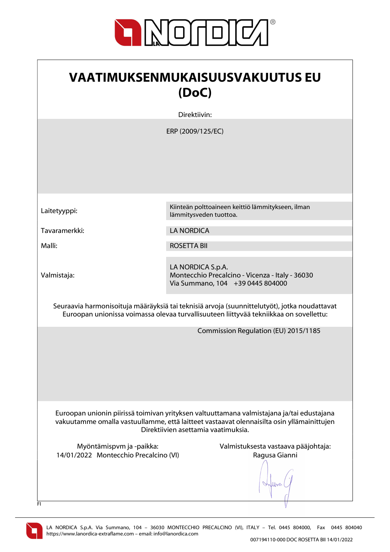

| <b>VAATIMUKSENMUKAISUUSVAKUUTUS EU</b><br>(DoC)                                                                                                                                                                               |                                                                                                          |  |
|-------------------------------------------------------------------------------------------------------------------------------------------------------------------------------------------------------------------------------|----------------------------------------------------------------------------------------------------------|--|
|                                                                                                                                                                                                                               | Direktiivin:                                                                                             |  |
|                                                                                                                                                                                                                               | ERP (2009/125/EC)                                                                                        |  |
| Laitetyyppi:                                                                                                                                                                                                                  | Kiinteän polttoaineen keittiö lämmitykseen, ilman<br>lämmitysveden tuottoa.                              |  |
| Tavaramerkki:                                                                                                                                                                                                                 | <b>LA NORDICA</b>                                                                                        |  |
| Malli:                                                                                                                                                                                                                        | <b>ROSETTA BIL</b>                                                                                       |  |
| Valmistaja:                                                                                                                                                                                                                   | LA NORDICA S.p.A.<br>Montecchio Precalcino - Vicenza - Italy - 36030<br>Via Summano, 104 +39 0445 804000 |  |
| Seuraavia harmonisoituja määräyksiä tai teknisiä arvoja (suunnittelutyöt), jotka noudattavat<br>Euroopan unionissa voimassa olevaa turvallisuuteen liittyvää tekniikkaa on sovellettu:                                        |                                                                                                          |  |
|                                                                                                                                                                                                                               | Commission Regulation (EU) 2015/1185                                                                     |  |
| Euroopan unionin piirissä toimivan yrityksen valtuuttamana valmistajana ja/tai edustajana<br>vakuutamme omalla vastuullamme, että laitteet vastaavat olennaisilta osin yllämainittujen<br>Direktiivien asettamia vaatimuksia. |                                                                                                          |  |
| Myöntämispvm ja -paikka:<br>14/01/2022 Montecchio Precalcino (VI)<br>FI.                                                                                                                                                      | Valmistuksesta vastaava pääjohtaja:<br>Ragusa Gianni                                                     |  |

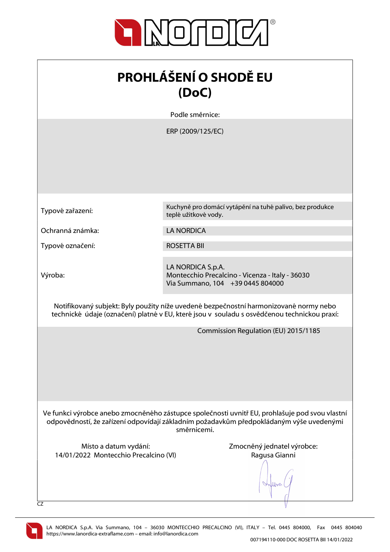

| <b>PROHLÁŠENÍ O SHODĚ EU</b><br>(DoC)                                                                                                                                                                    |                                                                                                                                                                                      |  |
|----------------------------------------------------------------------------------------------------------------------------------------------------------------------------------------------------------|--------------------------------------------------------------------------------------------------------------------------------------------------------------------------------------|--|
|                                                                                                                                                                                                          | Podle směrnice:                                                                                                                                                                      |  |
|                                                                                                                                                                                                          | ERP (2009/125/EC)                                                                                                                                                                    |  |
| Typové zařazení:                                                                                                                                                                                         | Kuchyně pro domácí vytápění na tuhé palivo, bez produkce<br>teplé užitkové vody.                                                                                                     |  |
| Ochranná známka:                                                                                                                                                                                         | <b>LA NORDICA</b>                                                                                                                                                                    |  |
| Typové označení:                                                                                                                                                                                         | <b>ROSETTA BII</b>                                                                                                                                                                   |  |
| Výroba:                                                                                                                                                                                                  | LA NORDICA S.p.A.<br>Montecchio Precalcino - Vicenza - Italy - 36030<br>Via Summano, 104 +39 0445 804000                                                                             |  |
|                                                                                                                                                                                                          | Notifikovaný subjekt: Byly použity níže uvedené bezpečnostní harmonizované normy nebo<br>technické údaje (označení) platné v EU, které jsou v souladu s osvědčenou technickou praxí: |  |
|                                                                                                                                                                                                          | Commission Regulation (EU) 2015/1185                                                                                                                                                 |  |
| Ve funkci výrobce anebo zmocněného zástupce společnosti uvnitř EU, prohlašuje pod svou vlastní<br>odpovědností, že zařízení odpovídají základním požadavkům předpokládaným výše uvedenými<br>směrnicemi. |                                                                                                                                                                                      |  |
| Místo a datum vydání:<br>14/01/2022 Montecchio Precalcino (VI)<br>CZ                                                                                                                                     | Zmocněný jednatel výrobce:<br>Ragusa Gianni                                                                                                                                          |  |

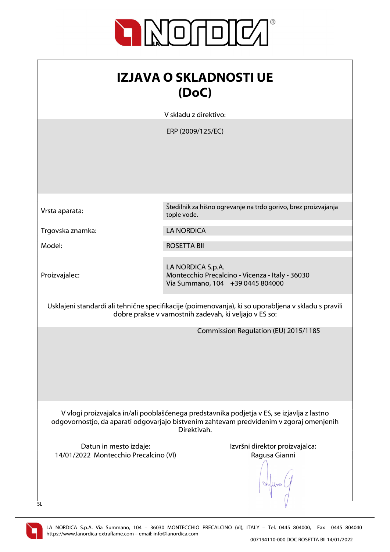

| <b>IZJAVA O SKLADNOSTI UE</b><br>(DoC)                                                                                                                                                               |                                                                                                          |  |
|------------------------------------------------------------------------------------------------------------------------------------------------------------------------------------------------------|----------------------------------------------------------------------------------------------------------|--|
|                                                                                                                                                                                                      | V skladu z direktivo:                                                                                    |  |
|                                                                                                                                                                                                      | ERP (2009/125/EC)                                                                                        |  |
| Vrsta aparata:                                                                                                                                                                                       | Štedilnik za hišno ogrevanje na trdo gorivo, brez proizvajanja<br>tople vode.                            |  |
| Trgovska znamka:                                                                                                                                                                                     | <b>LA NORDICA</b>                                                                                        |  |
| Model:                                                                                                                                                                                               | <b>ROSETTA BII</b>                                                                                       |  |
| Proizvajalec:                                                                                                                                                                                        | LA NORDICA S.p.A.<br>Montecchio Precalcino - Vicenza - Italy - 36030<br>Via Summano, 104 +39 0445 804000 |  |
| Usklajeni standardi ali tehnične specifikacije (poimenovanja), ki so uporabljena v skladu s pravili<br>dobre prakse v varnostnih zadevah, ki veljajo v ES so:                                        |                                                                                                          |  |
|                                                                                                                                                                                                      | Commission Regulation (EU) 2015/1185                                                                     |  |
| V vlogi proizvajalca in/ali pooblaščenega predstavnika podjetja v ES, se izjavlja z lastno<br>odgovornostjo, da aparati odgovarjajo bistvenim zahtevam predvidenim v zgoraj omenjenih<br>Direktivah. |                                                                                                          |  |
| Datun in mesto izdaje:<br>14/01/2022 Montecchio Precalcino (VI)<br><b>SL</b>                                                                                                                         | Izvršni direktor proizvajalca:<br>Ragusa Gianni                                                          |  |

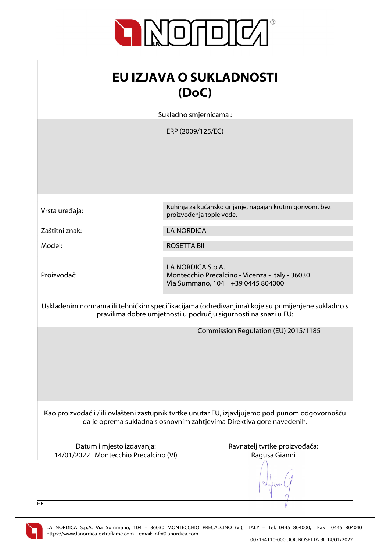

| <b>EU IZJAVA O SUKLADNOSTI</b>                                                                                                                                            |                                                                                                          |  |
|---------------------------------------------------------------------------------------------------------------------------------------------------------------------------|----------------------------------------------------------------------------------------------------------|--|
| (DoC)                                                                                                                                                                     |                                                                                                          |  |
|                                                                                                                                                                           | Sukladno smjernicama:                                                                                    |  |
| ERP (2009/125/EC)                                                                                                                                                         |                                                                                                          |  |
| Vrsta uređaja:                                                                                                                                                            | Kuhinja za kućansko grijanje, napajan krutim gorivom, bez<br>proizvođenja tople vode.                    |  |
| Zaštitni znak:                                                                                                                                                            | <b>LA NORDICA</b>                                                                                        |  |
| Model:                                                                                                                                                                    | <b>ROSETTA BII</b>                                                                                       |  |
| Proizvođač:                                                                                                                                                               | LA NORDICA S.p.A.<br>Montecchio Precalcino - Vicenza - Italy - 36030<br>Via Summano, 104 +39 0445 804000 |  |
| Usklađenim normama ili tehničkim specifikacijama (određivanjima) koje su primijenjene sukladno s<br>pravilima dobre umjetnosti u području sigurnosti na snazi u EU:       |                                                                                                          |  |
|                                                                                                                                                                           | Commission Regulation (EU) 2015/1185                                                                     |  |
| Kao proizvođač i / ili ovlašteni zastupnik tvrtke unutar EU, izjavljujemo pod punom odgovornošću<br>da je oprema sukladna s osnovnim zahtjevima Direktiva gore navedenih. |                                                                                                          |  |
| Datum i mjesto izdavanja:                                                                                                                                                 | Ravnatelj tvrtke proizvođača:<br>Ragusa Gianni                                                           |  |
| 14/01/2022 Montecchio Precalcino (VI)<br>HR                                                                                                                               |                                                                                                          |  |

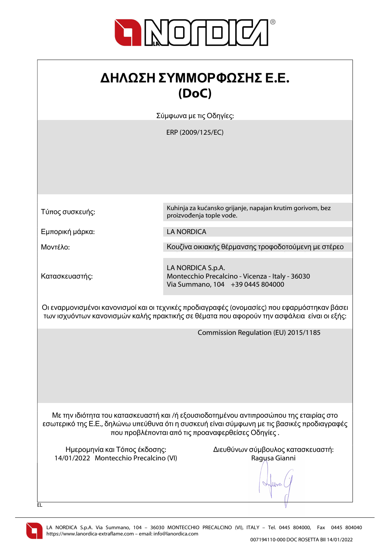

## ΔΗΛΩΣΗ ΣΥΜΜΟΡΦΩΣΗΣ Ε.Ε. (DoC)

Σύμφωνα με τις Οδηγίες:

ERP (2009/125/EC)

Τύπος συσκευής:

Εμπορική μάρκα: LA NORDICA

Κατασκευαστής:

Kuhinja za kućansko grijanje, napajan krutim gorivom, bez proizvođenja tople vode.

Μοντέλο: Κουζίνα οικιακής θέρμανσης τροφοδοτούμενη με στέρεο

LA NORDICA S.p.A. Montecchio Precalcino - Vicenza - Italy - 36030 Via Summano, 104 +39 0445 804000

Οι εναρμονισμένοι κανονισμοί και οι τεχνικές προδιαγραφές (ονομασίες) που εφαρμόστηκαν βάσει των ισχυόντων κανονισμών καλής πρακτικής σε θέματα που αφορούν την ασφάλεια είναι οι εξής:

Commission Regulation (EU) 2015/1185

Με την ιδιότητα του κατασκευαστή και /ή εξουσιοδοτημένου αντιπροσώπου της εταιρίας στο εσωτερικό της Ε.Ε., δηλώνω υπεύθυνα ότι η συσκευή είναι σύμφωνη με τις βασικές προδιαγραφές που προβλέπονται από τις προαναφερθείσες Οδηγίες .

14/01/2022 Montecchio Precalcino (VI) Ragusa Gianni

Ημερομηνία και Τόπος έκδοσης: Διευθύνων σύμβουλος κατασκευαστή:

lloo



EL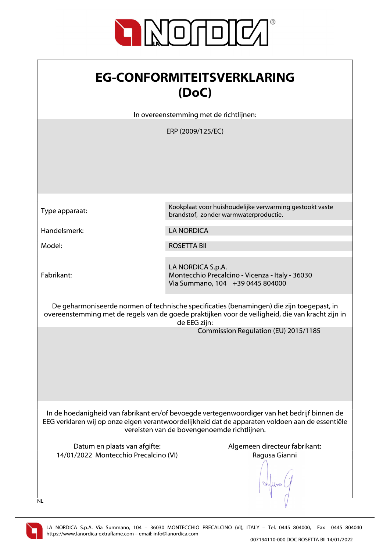

| <b>EG-CONFORMITEITSVERKLARING</b> |
|-----------------------------------|
| (DoC)                             |

In overeenstemming met de richtlijnen:

ERP (2009/125/EC)

Type apparaat: Kookplaat voor huishoudelijke verwarming gestookt vaste brandstof, zonder warmwaterproductie. Handelsmerk: LA NORDICA Model: ROSETTA BII LA NORDICA S.p.A. Fabrikant: Montecchio Precalcino - Vicenza - Italy - 36030 Via Summano, 104 +39 0445 804000 De geharmoniseerde normen of technische specificaties (benamingen) die zijn toegepast, in overeenstemming met de regels van de goede praktijken voor de veiligheid, die van kracht zijn in de EEG zijn: Commission Regulation (EU) 2015/1185 In de hoedanigheid van fabrikant en/of bevoegde vertegenwoordiger van het bedrijf binnen de EEG verklaren wij op onze eigen verantwoordelijkheid dat de apparaten voldoen aan de essentiële vereisten van de bovengenoemde richtlijnen. Datum en plaats van afgifte: Algemeen directeur fabrikant: 14/01/2022 Montecchio Precalcino (VI) Ragusa Gianni When  $\overline{N}$ 

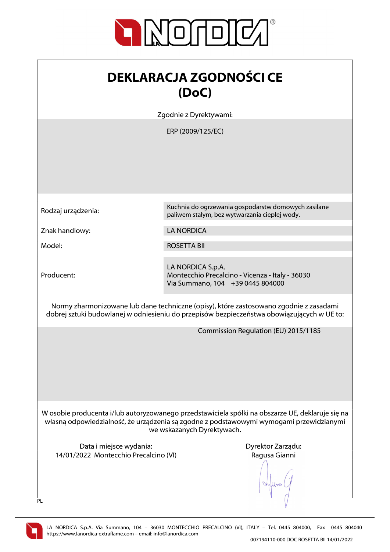

| <b>DEKLARACJA ZGODNOŚCI CE</b> |
|--------------------------------|
| (DoC)                          |

Zgodnie z Dyrektywami:

ERP (2009/125/EC)

Producent:

Rodzaj urządzenia: Kuchnia do ogrzewania gospodarstw domowych zasilane paliwem stałym, bez wytwarzania ciepłej wody.

Znak handlowy: LA NORDICA

Model: ROSETTA BII

LA NORDICA S.p.A. Montecchio Precalcino - Vicenza - Italy - 36030 Via Summano, 104 +39 0445 804000

Normy zharmonizowane lub dane techniczne (opisy), które zastosowano zgodnie z zasadami dobrej sztuki budowlanej w odniesieniu do przepisów bezpieczeństwa obowiązujących w UE to:

Commission Regulation (EU) 2015/1185

W osobie producenta i/lub autoryzowanego przedstawiciela spółki na obszarze UE, deklaruje się na własną odpowiedzialność, że urządzenia są zgodne z podstawowymi wymogami przewidzianymi we wskazanych Dyrektywach.

Data i miejsce wydania: Data i miejsce wydania: Dyrektor Zarządu: 14/01/2022 Montecchio Precalcino (VI) Ragusa Gianni

Work



 $\overline{PI}$